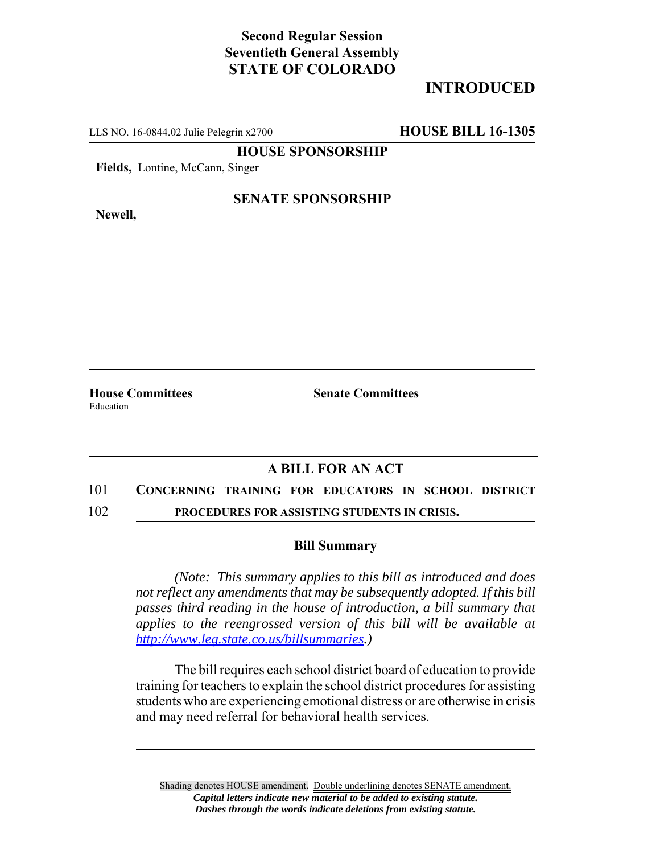# **Second Regular Session Seventieth General Assembly STATE OF COLORADO**

# **INTRODUCED**

LLS NO. 16-0844.02 Julie Pelegrin x2700 **HOUSE BILL 16-1305**

**HOUSE SPONSORSHIP**

**Fields,** Lontine, McCann, Singer

**Newell,**

## **SENATE SPONSORSHIP**

**House Committees Senate Committees** Education

## **A BILL FOR AN ACT**

#### 101 **CONCERNING TRAINING FOR EDUCATORS IN SCHOOL DISTRICT**

102 **PROCEDURES FOR ASSISTING STUDENTS IN CRISIS.**

### **Bill Summary**

*(Note: This summary applies to this bill as introduced and does not reflect any amendments that may be subsequently adopted. If this bill passes third reading in the house of introduction, a bill summary that applies to the reengrossed version of this bill will be available at http://www.leg.state.co.us/billsummaries.)*

The bill requires each school district board of education to provide training for teachers to explain the school district procedures for assisting students who are experiencing emotional distress or are otherwise in crisis and may need referral for behavioral health services.

Shading denotes HOUSE amendment. Double underlining denotes SENATE amendment. *Capital letters indicate new material to be added to existing statute. Dashes through the words indicate deletions from existing statute.*